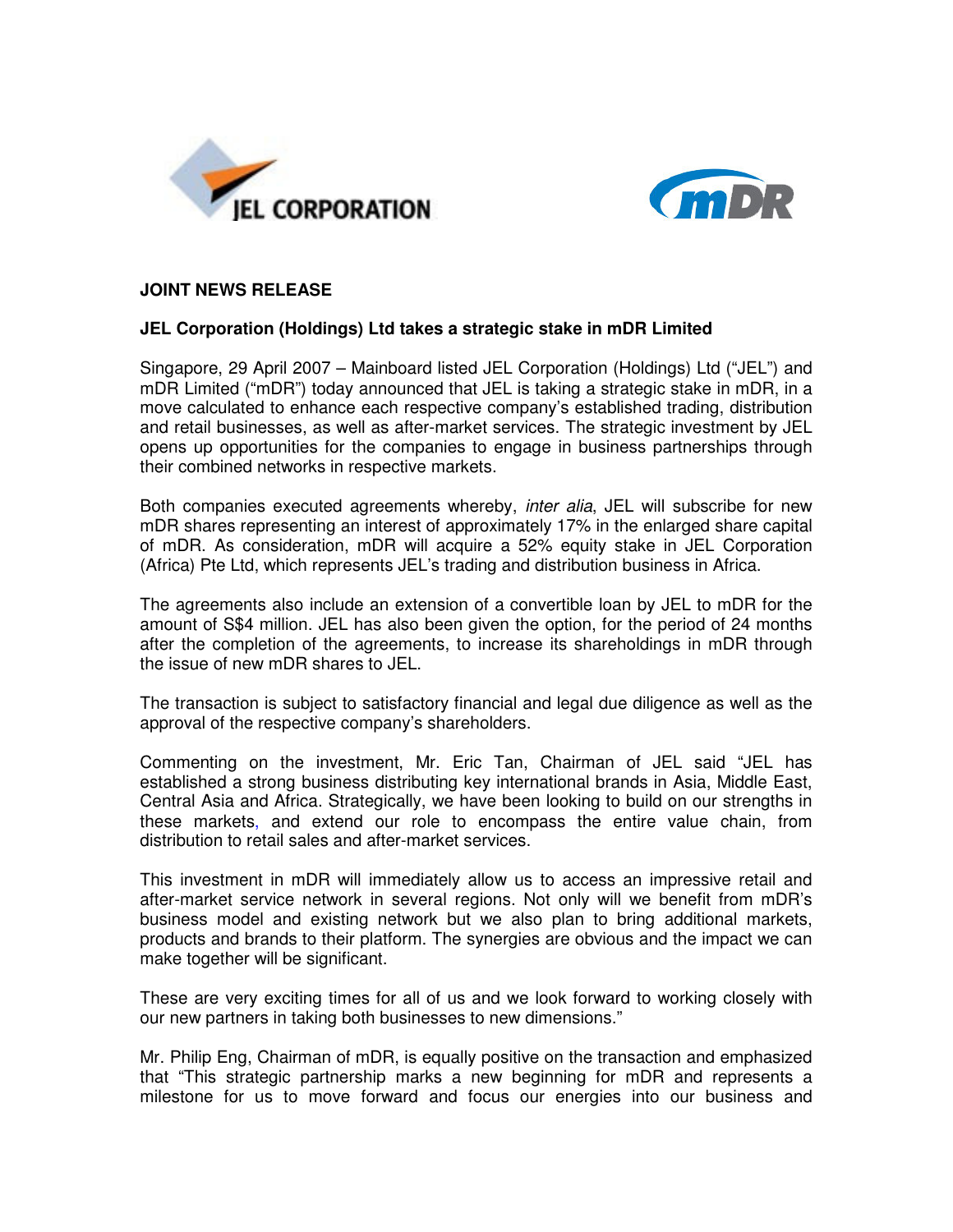



## **JOINT NEWS RELEASE**

## **JEL Corporation (Holdings) Ltd takes a strategic stake in mDR Limited**

Singapore, 29 April 2007 – Mainboard listed JEL Corporation (Holdings) Ltd ("JEL") and mDR Limited ("mDR") today announced that JEL is taking a strategic stake in mDR, in a move calculated to enhance each respective company's established trading, distribution and retail businesses, as well as after-market services. The strategic investment by JEL opens up opportunities for the companies to engage in business partnerships through their combined networks in respective markets.

Both companies executed agreements whereby, *inter alia*, JEL will subscribe for new mDR shares representing an interest of approximately 17% in the enlarged share capital of mDR. As consideration, mDR will acquire a 52% equity stake in JEL Corporation (Africa) Pte Ltd, which represents JEL's trading and distribution business in Africa.

The agreements also include an extension of a convertible loan by JEL to mDR for the amount of S\$4 million. JEL has also been given the option, for the period of 24 months after the completion of the agreements, to increase its shareholdings in mDR through the issue of new mDR shares to JEL.

The transaction is subject to satisfactory financial and legal due diligence as well as the approval of the respective company's shareholders.

Commenting on the investment, Mr. Eric Tan, Chairman of JEL said "JEL has established a strong business distributing key international brands in Asia, Middle East, Central Asia and Africa. Strategically, we have been looking to build on our strengths in these markets, and extend our role to encompass the entire value chain, from distribution to retail sales and after-market services.

This investment in mDR will immediately allow us to access an impressive retail and after-market service network in several regions. Not only will we benefit from mDR's business model and existing network but we also plan to bring additional markets, products and brands to their platform. The synergies are obvious and the impact we can make together will be significant.

These are very exciting times for all of us and we look forward to working closely with our new partners in taking both businesses to new dimensions."

Mr. Philip Eng, Chairman of mDR, is equally positive on the transaction and emphasized that "This strategic partnership marks a new beginning for mDR and represents a milestone for us to move forward and focus our energies into our business and